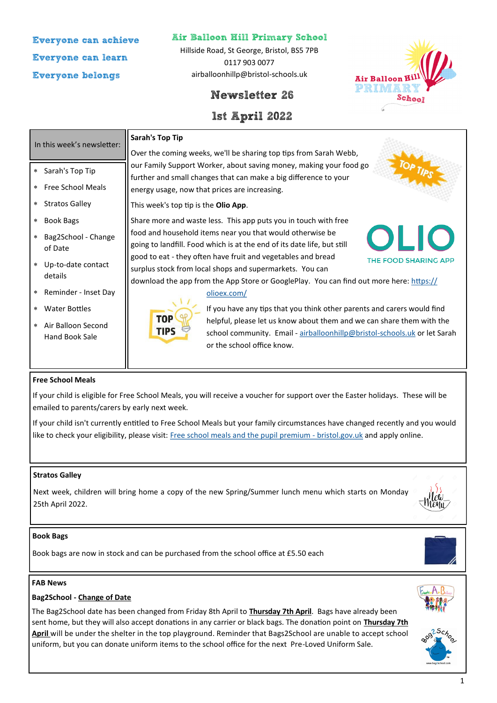**Everyone can achieve Everyone can learn Everyone belongs**

#### **Air Balloon Hill Primary School**

Hillside Road, St George, Bristol, BS5 7PB 0117 903 0077 airballoonhillp@bristol-schools.uk



### **1st April 2022**



| In this week's newsletter:                                      | <b>Sarah's Top Tip</b>                                                                                                                                                                                                                             |
|-----------------------------------------------------------------|----------------------------------------------------------------------------------------------------------------------------------------------------------------------------------------------------------------------------------------------------|
|                                                                 | Over the coming weeks, we'll be sharing top tips from Sarah Webb,                                                                                                                                                                                  |
| Sarah's Top Tip<br>$\ast$<br><b>Free School Meals</b><br>$\ast$ | our Family Support Worker, about saving money, making your food go<br>further and small changes that can make a big difference to your                                                                                                             |
|                                                                 | energy usage, now that prices are increasing.                                                                                                                                                                                                      |
| <b>Stratos Galley</b><br>$\ast$                                 | This week's top tip is the <b>Olio App</b> .                                                                                                                                                                                                       |
| <b>Book Bags</b><br>$\ast$                                      | Share more and waste less. This app puts you in touch with free                                                                                                                                                                                    |
| Bag2School - Change<br>$\ast$<br>of Date                        | food and household items near you that would otherwise be<br>ULIO<br>going to landfill. Food which is at the end of its date life, but still                                                                                                       |
| Up-to-date contact<br>$\ast$<br>details                         | good to eat - they often have fruit and vegetables and bread<br><b>THE FOOD SHARING APP</b><br>surplus stock from local shops and supermarkets. You can<br>download the app from the App Store or GooglePlay. You can find out more here: https:// |
| Reminder - Inset Day<br>$\ast$                                  | olioex.com/                                                                                                                                                                                                                                        |
| <b>Water Bottles</b><br>$\ast$                                  | If you have any tips that you think other parents and carers would find                                                                                                                                                                            |
| Air Balloon Second<br>$\ast$<br>Hand Book Sale                  | <b>TOP</b><br>helpful, please let us know about them and we can share them with the<br><b>TIPS</b><br>school community. Email - airballoonhillp@bristol-schools.uk or let Sarah<br>or the school office know.                                      |

#### **Free School Meals**

If your child is eligible for Free School Meals, you will receive a voucher for support over the Easter holidays. These will be emailed to parents/carers by early next week.

If your child isn't currently entitled to Free School Meals but your family circumstances have changed recently and you would like to check your eligibility, please visit: [Free school meals and the pupil premium](https://www.bristol.gov.uk/schools-learning-early-years/free-school-meals) - bristol.gov.uk and apply online.

#### **Stratos Galley**

Next week, children will bring home a copy of the new Spring/Summer lunch menu which starts on Monday 25th April 2022.

#### **Book Bags**

Book bags are now in stock and can be purchased from the school office at £5.50 each

#### **FAB News**

#### **Bag2School - Change of Date**

The Bag2School date has been changed from Friday 8th April to **Thursday 7th April**. Bags have already been sent home, but they will also accept donations in any carrier or black bags. The donation point on **Thursday 7th April** will be under the shelter in the top playground. Reminder that Bags2School are unable to accept school uniform, but you can donate uniform items to the school office for the next Pre-Loved Uniform Sale.